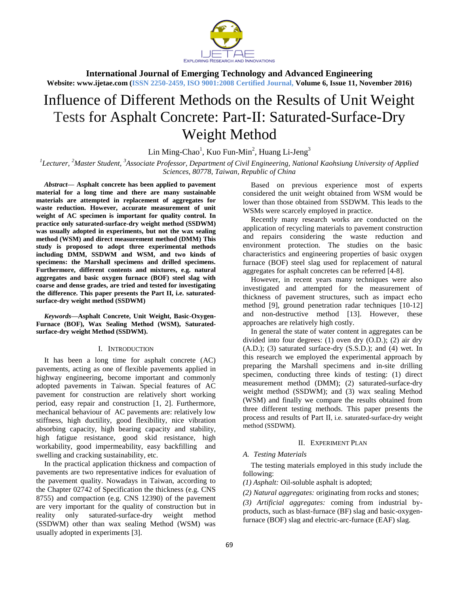

**International Journal of Emerging Technology and Advanced Engineering Website: www.ijetae.com (ISSN 2250-2459, ISO 9001:2008 Certified Journal, Volume 6, Issue 11, November 2016)**

# Influence of Different Methods on the Results of Unit Weight Tests for Asphalt Concrete: Part-II: Saturated-Surface-Dry Weight Method

 $\text{Lin Ming-Chao}^1$ , Kuo Fun-Min<sup>2</sup>, Huang Li-Jeng<sup>3</sup>

*1 Lecturer, <sup>2</sup>Master Student, <sup>3</sup>Associate Professor, Department of Civil Engineering, National Kaohsiung University of Applied Sciences, 80778, Taiwan, Republic of China* 

*Abstract***— Asphalt concrete has been applied to pavement material for a long time and there are many sustainable materials are attempted in replacement of aggregates for waste reduction. However, accurate measurement of unit weight of AC specimen is important for quality control. In practice only saturated-surface-dry weight method (SSDWM) was usually adopted in experiments, but not the wax sealing method (WSM) and direct measurement method (DMM) This study is proposed to adopt three experimental methods including DMM, SSDWM and WSM, and two kinds of specimens: the Marshall specimens and drilled specimens. Furthermore, different contents and mixtures, e.g. natural aggregates and basic oxygen furnace (BOF) steel slag with coarse and dense grades, are tried and tested for investigating the difference. This paper presents the Part II, i.e. saturatedsurface-dry weight method (SSDWM)**

*Keywords***—Asphalt Concrete, Unit Weight, Basic-Oxygen-Furnace (BOF), Wax Sealing Method (WSM), Saturatedsurface-dry weight Method (SSDWM).**

#### I. INTRODUCTION

It has been a long time for asphalt concrete (AC) pavements, acting as one of flexible pavements applied in highway engineering, become important and commonly adopted pavements in Taiwan. Special features of AC pavement for construction are relatively short working period, easy repair and construction [1, 2]. Furthermore, mechanical behaviour of AC pavements are: relatively low stiffness, high ductility, good flexibility, nice vibration absorbing capacity, high bearing capacity and stability, high fatigue resistance, good skid resistance, high workability, good impermeability, easy backfilling and swelling and cracking sustainability, etc.

In the practical application thickness and compaction of pavements are two representative indices for evaluation of the pavement quality. Nowadays in Taiwan, according to the Chapter 02742 of Specification the thickness (e.g. CNS 8755) and compaction (e.g. CNS 12390) of the pavement are very important for the quality of construction but in reality only saturated-surface-dry weight method (SSDWM) other than wax sealing Method (WSM) was usually adopted in experiments [3].

Based on previous experience most of experts considered the unit weight obtained from WSM would be lower than those obtained from SSDWM. This leads to the WSMs were scarcely employed in practice.

Recently many research works are conducted on the application of recycling materials to pavement construction and repairs considering the waste reduction and environment protection. The studies on the basic characteristics and engineering properties of basic oxygen furnace (BOF) steel slag used for replacement of natural aggregates for asphalt concretes can be referred [4-8].

However, in recent years many techniques were also investigated and attempted for the measurement of thickness of pavement structures, such as impact echo method [9], ground penetration radar techniques [10-12] and non-destructive method [13]. However, these approaches are relatively high costly.

In general the state of water content in aggregates can be divided into four degrees: (1) oven dry (O.D.); (2) air dry (A.D.); (3) saturated surface-dry (S.S.D.); and (4) wet. In this research we employed the experimental approach by preparing the Marshall specimens and in-site drilling specimen, conducting three kinds of testing: (1) direct measurement method (DMM); (2) saturated-surface-dry weight method (SSDWM); and (3) wax sealing Method (WSM) and finally we compare the results obtained from three different testing methods. This paper presents the process and results of Part II, i.e. saturated-surface-dry weight method (SSDWM).

#### II. EXPERIMENT PLAN

## *A. Testing Materials*

The testing materials employed in this study include the following:

*(1) Asphalt:* Oil-soluble asphalt is adopted;

*(2) Natural aggregates:* originating from rocks and stones;

*(3) Artificial aggregates:* coming from industrial byproducts, such as blast-furnace (BF) slag and basic-oxygenfurnace (BOF) slag and electric-arc-furnace (EAF) slag.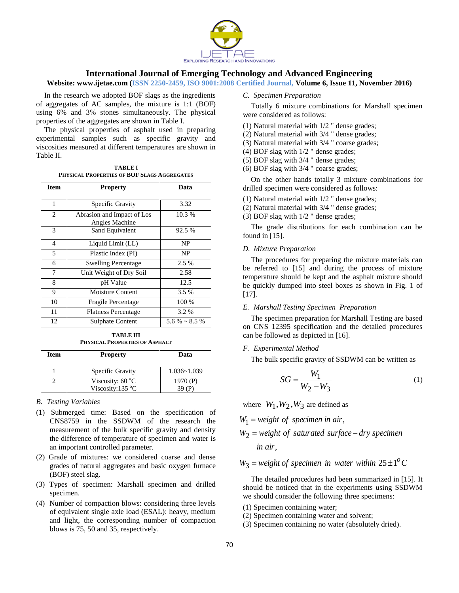

#### **Website: www.ijetae.com (ISSN 2250-2459, ISO 9001:2008 Certified Journal, Volume 6, Issue 11, November 2016)**

In the research we adopted BOF slags as the ingredients of aggregates of AC samples, the mixture is 1:1 (BOF) using 6% and 3% stones simultaneously. The physical properties of the aggregates are shown in Table I.

The physical properties of asphalt used in preparing experimental samples such as specific gravity and viscosities measured at different temperatures are shown in Table II.

**TABLE I PHYSICAL PROPERTIES OF BOF SLAGS AGGREGATES**

| <b>Item</b>    | <b>Property</b>            | Data                  |
|----------------|----------------------------|-----------------------|
|                |                            |                       |
| 1              | Specific Gravity           | 3.32                  |
| $\overline{c}$ | Abrasion and Impact of Los | 10.3 %                |
|                | Angles Machine             |                       |
| 3              | Sand Equivalent            | 92.5 %                |
| $\overline{4}$ | Liquid Limit (LL)          | <b>NP</b>             |
| 5              | Plastic Index (PI)         | NP                    |
| 6              | <b>Swelling Percentage</b> | 2.5 %                 |
| 7              | Unit Weight of Dry Soil    | 2.58                  |
| 8              | pH Value                   | 12.5                  |
| 9              | Moisture Content           | $3.5\%$               |
| 10             | <b>Fragile Percentage</b>  | 100 %                 |
| 11             | <b>Flatness Percentage</b> | 3.2 %                 |
| 12             | <b>Sulphate Content</b>    | $5.6\% \approx 8.5\%$ |

**TABLE III PHYSICAL PROPERTIES OF ASPHALT**

| Item | <b>Property</b>                               | Data            |
|------|-----------------------------------------------|-----------------|
|      | Specific Gravity                              | $1.036 - 1.039$ |
|      | Viscosity: $60^{\circ}$ C<br>Viscosity:135 °C | 1970 $(P)$      |

## *B. Testing Variables*

- (1) Submerged time: Based on the specification of CNS8759 in the SSDWM of the research the measurement of the bulk specific gravity and density the difference of temperature of specimen and water is an important controlled parameter.
- (2) Grade of mixtures: we considered coarse and dense grades of natural aggregates and basic oxygen furnace (BOF) steel slag.
- (3) Types of specimen: Marshall specimen and drilled specimen.
- (4) Number of compaction blows: considering three levels of equivalent single axle load (ESAL): heavy, medium and light, the corresponding number of compaction blows is 75, 50 and 35, respectively.

## *C. Specimen Preparation*

Totally 6 mixture combinations for Marshall specimen were considered as follows:

- (1) Natural material with 1/2 " dense grades;
- (2) Natural material with 3/4 " dense grades;
- (3) Natural material with 3/4 " coarse grades;
- (4) BOF slag with 1/2 " dense grades;
- (5) BOF slag with 3/4 " dense grades;
- (6) BOF slag with 3/4 " coarse grades;

On the other hands totally 3 mixture combinations for drilled specimen were considered as follows:

- (1) Natural material with 1/2 " dense grades;
- (2) Natural material with 3/4 " dense grades;
- (3) BOF slag with 1/2 " dense grades;

The grade distributions for each combination can be found in [15].

## *D. Mixture Preparation*

The procedures for preparing the mixture materials can be referred to [15] and during the process of mixture temperature should be kept and the asphalt mixture should be quickly dumped into steel boxes as shown in Fig. 1 of [17].

#### *E. Marshall Testing Specimen Preparation*

The specimen preparation for Marshall Testing are based on CNS 12395 specification and the detailed procedures can be followed as depicted in [16].

## *F. Experimental Method*

The bulk specific gravity of SSDWM can be written as

$$
SG = \frac{W_1}{W_2 - W_3} \tag{1}
$$

where  $W_1, W_2, W_3$  are defined as

 $W_1$  = *weight of specimen in air*,

$$
W_2 = weight of saturated surface - dry specimen
$$
  
in air,

## $W_3$  = weight of specimen in water within  $25 \pm 1^\circ C$

The detailed procedures had been summarized in [15]. It should be noticed that in the experiments using SSDWM we should consider the following three specimens:

- (1) Specimen containing water;
- (2) Specimen containing water and solvent;
- (3) Specimen containing no water (absolutely dried).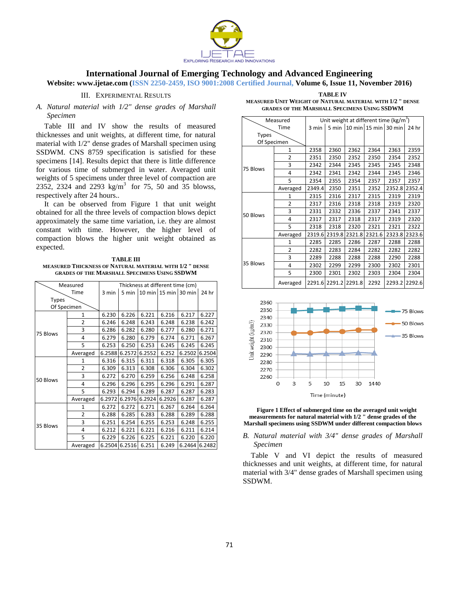

**Website: www.ijetae.com (ISSN 2250-2459, ISO 9001:2008 Certified Journal, Volume 6, Issue 11, November 2016)**

## III. EXPERIMENTAL RESULTS

## *A. Natural material with 1/2" dense grades of Marshall Specimen*

Table III and IV show the results of measured thicknesses and unit weights, at different time, for natural material with 1/2" dense grades of Marshall specimen using SSDWM. CNS 8759 specification is satisfied for these specimens [14]. Results depict that there is little difference for various time of submerged in water. Averaged unit weights of 5 specimens under three level of compaction are 2352, 2324 and 2293 kg/m<sup>3</sup> for 75, 50 and 35 blowss, respectively after 24 hours..

It can be observed from Figure 1 that unit weight obtained for all the three levels of compaction blows depict approximately the same time variation, i.e. they are almost constant with time. However, the higher level of compaction blows the higher unit weight obtained as expected.

**TABLE III MEASURED THICKNESS OF NATURAL MATERIAL WITH 1/2 " DENSE GRADES OF THE MARSHALL SPECIMENS USING SSDWM**

|              | Measured       | Thickness at different time (cm) |        |        |                      |        |        |  |  |
|--------------|----------------|----------------------------------|--------|--------|----------------------|--------|--------|--|--|
|              | Time           | 3 min                            | 5 min  |        | 10 min 15 min 30 min |        | 24 hr  |  |  |
| <b>Types</b> |                |                                  |        |        |                      |        |        |  |  |
| Of Specimen  |                |                                  |        |        |                      |        |        |  |  |
|              | 1              | 6.230                            | 6.226  | 6.221  | 6.216                | 6.217  | 6.227  |  |  |
|              | $\overline{2}$ | 6.246                            | 6.248  | 6.243  | 6.248                | 6.238  | 6.242  |  |  |
| 75 Blows     | 3              | 6.286                            | 6.282  | 6.280  | 6.277                | 6.280  | 6.271  |  |  |
|              | 4              | 6.279                            | 6.280  | 6.279  | 6.274                | 6.271  | 6.267  |  |  |
|              | 5              | 6.253                            | 6.250  | 6.253  | 6.245                | 6.245  | 6.245  |  |  |
|              | Averaged       | 6.2588                           | 6.2572 | 6.2552 | 6.252                | 6.2502 | 6.2504 |  |  |
|              | 1              | 6.316                            | 6.315  | 6.311  | 6.318                | 6.305  | 6.305  |  |  |
|              | $\overline{2}$ | 6.309                            | 6.313  | 6.308  | 6.306                | 6.304  | 6.302  |  |  |
|              | 3              | 6.272                            | 6.270  | 6.259  | 6.256                | 6.248  | 6.258  |  |  |
| 50 Blows     | 4              | 6.296                            | 6.296  | 6.295  | 6.296                | 6.291  | 6.287  |  |  |
|              | 5              | 6.293                            | 6.294  | 6.289  | 6.287                | 6.287  | 6.283  |  |  |
|              | Averaged       | 6.2972                           | 6.2976 | 6.2924 | 6.2926               | 6.287  | 6.287  |  |  |
|              | $\mathbf{1}$   | 6.272                            | 6.272  | 6.271  | 6.267                | 6.264  | 6.264  |  |  |
|              | 2              | 6.288                            | 6.285  | 6.283  | 6.288                | 6.289  | 6.288  |  |  |
| 35 Blows     | 3              | 6.251                            | 6.254  | 6.255  | 6.253                | 6.248  | 6.255  |  |  |
|              | 4              | 6.212                            | 6.221  | 6.221  | 6.216                | 6.211  | 6.214  |  |  |
|              | 5              | 6.229                            | 6.226  | 6.225  | 6.221                | 6.220  | 6.220  |  |  |
|              | Averaged       | 6.2504                           | 6.2516 | 6.251  | 6.249                | 6.2464 | 6.2482 |  |  |

**TABLE IV MEASURED UNIT WEIGHT OF NATURAL MATERIAL WITH 1/2 " DENSE GRADES OF THE MARSHALL SPECIMENS USING SSDWM**

| Measured     |                | Unit weight at different time ( $kg/m3$ ) |                      |        |                      |        |        |  |  |
|--------------|----------------|-------------------------------------------|----------------------|--------|----------------------|--------|--------|--|--|
|              | Time           | 3 min                                     | 5 min                |        | 10 min 15 min 30 min |        | 24 hr  |  |  |
| <b>Types</b> |                |                                           |                      |        |                      |        |        |  |  |
| Of Specimen  |                |                                           |                      |        |                      |        |        |  |  |
|              | 1              | 2358                                      | 2360                 | 2362   | 2364                 | 2363   | 2359   |  |  |
|              | $\overline{2}$ | 2351                                      | 2350                 | 2352   | 2350                 | 2354   | 2352   |  |  |
|              | 3              | 2342                                      | 2344                 | 2345   | 2345                 | 2345   | 2348   |  |  |
| 75 Blows     | 4              | 2342                                      | 2341                 | 2342   | 2344                 | 2345   | 2346   |  |  |
|              | 5              | 2354                                      | 2355                 | 2354   | 2357                 | 2357   | 2357   |  |  |
|              | Averaged       | 2349.4                                    | 2350                 | 2351   | 2352                 | 2352.8 | 2352.4 |  |  |
|              | 1              | 2315                                      | 2316                 | 2317   | 2315                 | 2319   | 2319   |  |  |
|              | $\overline{2}$ | 2317                                      | 2316                 | 2318   | 2318                 | 2319   | 2320   |  |  |
|              | 3              | 2331                                      | 2332                 | 2336   | 2337                 | 2341   | 2337   |  |  |
| 50 Blows     | 4              | 2317                                      | 2317                 | 2318   | 2317                 | 2319   | 2320   |  |  |
|              | 5              | 2318                                      | 2318                 | 2320   | 2321                 | 2321   | 2322   |  |  |
|              | Averaged       | 2319.6                                    | 2319.8               | 2321.8 | 2321.6               | 2323.8 | 2323.6 |  |  |
|              | 1              | 2285                                      | 2285                 | 2286   | 2287                 | 2288   | 2288   |  |  |
|              | $\overline{2}$ | 2282                                      | 2283                 | 2284   | 2282                 | 2282   | 2282   |  |  |
| 35 Blows     | 3              | 2289                                      | 2288                 | 2288   | 2288                 | 2290   | 2288   |  |  |
|              | 4              | 2302                                      | 2299                 | 2299   | 2300                 | 2302   | 2301   |  |  |
|              | 5              | 2300                                      | 2301                 | 2302   | 2303                 | 2304   | 2304   |  |  |
|              | Averaged       |                                           | 2291.6 2291.2 2291.8 |        | 2292                 | 2293.2 | 2292.6 |  |  |



**Figure 1 Effect of submerged time on the averaged unit weight measurements for natural material with 1/2 " dense grades of the Marshall specimens using SSDWM under different compaction blows**

## *B. Natural material with 3/4" dense grades of Marshall Specimen*

Table V and VI depict the results of measured thicknesses and unit weights, at different time, for natural material with 3/4" dense grades of Marshall specimen using SSDWM.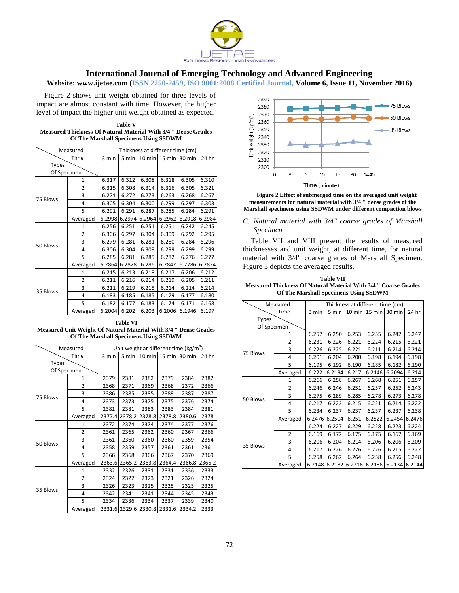

**Website: www.ijetae.com (ISSN 2250-2459, ISO 9001:2008 Certified Journal, Volume 6, Issue 11, November 2016)**

Figure 2 shows unit weight obtained for three levels of impact are almost constant with time. However, the higher level of impact the higher unit weight obtained as expected.

| Table V                                                        |
|----------------------------------------------------------------|
| Measured Thickness Of Natural Material With 3/4 " Dense Grades |
| <b>Of The Marshall Specimens Using SSDWM</b>                   |

|              | Measured       | Thickness at different time (cm) |        |        |                      |        |        |  |  |
|--------------|----------------|----------------------------------|--------|--------|----------------------|--------|--------|--|--|
|              | Time           | 3 min                            | 5 min  |        | 10 min 15 min 30 min |        | 24 hr  |  |  |
| <b>Types</b> |                |                                  |        |        |                      |        |        |  |  |
| Of Specimen  |                |                                  |        |        |                      |        |        |  |  |
|              | 1              | 6.317                            | 6.312  | 6.308  | 6.318                | 6.305  | 6.310  |  |  |
|              | $\overline{2}$ | 6.315                            | 6.308  | 6.314  | 6.316                | 6.305  | 6.321  |  |  |
|              | 3              | 6.271                            | 6.272  | 6.273  | 6.263                | 6.268  | 6.267  |  |  |
| 75 Blows     | 4              | 6.305                            | 6.304  | 6.300  | 6.299                | 6.297  | 6.303  |  |  |
|              | 5              | 6.291                            | 6.291  | 6.287  | 6.285                | 6.284  | 6.291  |  |  |
|              | Averaged       | 6.2998                           | 6.2974 | 6.2964 | 6.2962               | 6.2918 | 6.2984 |  |  |
|              | $\mathbf{1}$   | 6.256                            | 6.251  | 6.251  | 6.251                | 6.242  | 6.245  |  |  |
|              | 2              | 6.306                            | 6.297  | 6.304  | 6.309                | 6.292  | 6.295  |  |  |
|              | 3              | 6.279                            | 6.281  | 6.281  | 6.280                | 6.284  | 6.296  |  |  |
| 50 Blows     | 4              | 6.306                            | 6.304  | 6.309  | 6.299                | 6.299  | 6.299  |  |  |
|              | 5              | 6.285                            | 6.281  | 6.285  | 6.282                | 6.276  | 6.277  |  |  |
|              | Averaged       | 6.2864                           | 6.2828 | 6.286  | 6.2842               | 6.2786 | 6.2824 |  |  |
|              | 1              | 6.215                            | 6.213  | 6.218  | 6.217                | 6.206  | 6.212  |  |  |
|              | 2              | 6.211                            | 6.216  | 6.214  | 6.219                | 6.205  | 6.211  |  |  |
| 35 Blows     | 3              | 6.211                            | 6.219  | 6.215  | 6.214                | 6.214  | 6.214  |  |  |
|              | 4              | 6.183                            | 6.185  | 6.185  | 6.179                | 6.177  | 6.180  |  |  |
|              | 5              | 6.182                            | 6.177  | 6.183  | 6.174                | 6.171  | 6.168  |  |  |
|              | Averaged       | 6.2004                           | 6.202  | 6.203  | 6.2006               | 6.1946 | 6.197  |  |  |

**Table VI Measured Unit Weight Of Natural Material With 3/4 " Dense Grades Of The Marshall Specimens Using SSDWM**

| Measured    |                | Unit weight at different time ( $kg/m3$ ) |        |        |                                  |        |        |  |  |
|-------------|----------------|-------------------------------------------|--------|--------|----------------------------------|--------|--------|--|--|
|             | Time           | 3 min                                     |        |        | 5 min   10 min   15 min   30 min |        | 24 hr  |  |  |
| Types       |                |                                           |        |        |                                  |        |        |  |  |
| Of Specimen |                |                                           |        |        |                                  |        |        |  |  |
|             | 1              | 2379                                      | 2381   | 2382   | 2379                             | 2384   | 2382   |  |  |
|             | $\overline{2}$ | 2368                                      | 2371   | 2369   | 2368                             | 2372   | 2366   |  |  |
| 75 Blows    | 3              | 2386                                      | 2385   | 2385   | 2389                             | 2387   | 2387   |  |  |
|             | 4              | 2373                                      | 2373   | 2375   | 2375                             | 2376   | 2374   |  |  |
|             | 5              | 2381                                      | 2381   | 2383   | 2383                             | 2384   | 2381   |  |  |
|             | Averaged       | 2377.4                                    | 2378.2 | 2378.8 | 2378.8                           | 2380.6 | 2378   |  |  |
|             | 1              | 2372                                      | 2374   | 2374   | 2374                             | 2377   | 2376   |  |  |
|             | $\overline{2}$ | 2361                                      | 2365   | 2362   | 2360                             | 2367   | 2366   |  |  |
|             | 3              | 2361                                      | 2360   | 2360   | 2360                             | 2359   | 2354   |  |  |
| 50 Blows    | $\overline{4}$ | 2358                                      | 2359   | 2357   | 2361                             | 2361   | 2361   |  |  |
|             | 5              | 2366                                      | 2368   | 2366   | 2367                             | 2370   | 2369   |  |  |
|             | Averaged       | 2363.6                                    | 2365.2 | 2363.8 | 2364.4                           | 2366.8 | 2365.2 |  |  |
|             | 1              | 2332                                      | 2326   | 2331   | 2331                             | 2336   | 2333   |  |  |
|             | $\overline{2}$ | 2324                                      | 2322   | 2323   | 2321                             | 2326   | 2324   |  |  |
| 35 Blows    | 3              | 2326                                      | 2323   | 2325   | 2325                             | 2325   | 2325   |  |  |
|             | 4              | 2342                                      | 2341   | 2341   | 2344                             | 2345   | 2343   |  |  |
|             | 5              | 2334                                      | 2336   | 2334   | 2337                             | 2339   | 2340   |  |  |
|             | Averaged       | 2331.6                                    | 2329.6 | 2330.8 | 2331.6                           | 2334.2 | 2333   |  |  |



**Figure 2 Effect of submerged time on the averaged unit weight measurements for natural material with 3/4 " dense grades of the Marshall specimens using SSDWM under different compaction blows**

## *C. Natural material with 3/4" coarse grades of Marshall Specimen*

Table VII and VIII present the results of measured thicknesses and unit weight, at different time, for natural material with 3/4" coarse grades of Marshall Specimen. Figure 3 depicts the averaged results.

**Table VII Measured Thickness Of Natural Material With 3/4 " Coarse Grades Of The Marshall Specimens Using SSDWM**

| Measured     |                | Thickness at different time (cm) |        |        |                      |        |        |  |  |
|--------------|----------------|----------------------------------|--------|--------|----------------------|--------|--------|--|--|
|              | Time           | 3 min                            | 5 min  |        | 10 min 15 min 30 min |        | 24 hr  |  |  |
| <b>Types</b> |                |                                  |        |        |                      |        |        |  |  |
| Of Specimen  |                |                                  |        |        |                      |        |        |  |  |
|              | $\mathbf{1}$   | 6.257                            | 6.250  | 6.253  | 6.255                | 6.242  | 6.247  |  |  |
|              | $\overline{2}$ | 6.231                            | 6.226  | 6.221  | 6.224                | 6.215  | 6.221  |  |  |
|              | 3              | 6.226                            | 6.225  | 6.221  | 6.211                | 6.214  | 6.214  |  |  |
| 75 Blows     | 4              | 6.201                            | 6.204  | 6.200  | 6.198                | 6.194  | 6.198  |  |  |
|              | 5              | 6.195                            | 6.192  | 6.190  | 6.185                | 6.182  | 6.190  |  |  |
|              | Averaged       | 6.222                            | 6.2194 | 6.217  | 6.2146               | 6.2094 | 6.214  |  |  |
|              | 1              | 6.266                            | 6.258  | 6.267  | 6.268                | 6.251  | 6.257  |  |  |
|              | 2              | 6.246                            | 6.246  | 6.251  | 6.257                | 6.252  | 6.243  |  |  |
|              | 3              | 6.275                            | 6.289  | 6.285  | 6.278                | 6.273  | 6.278  |  |  |
| 50 Blows     | 4              | 6.217                            | 6.222  | 6.215  | 6.221                | 6.214  | 6.222  |  |  |
|              | 5              | 6.234                            | 6.237  | 6.237  | 6.237                | 6.237  | 6.238  |  |  |
|              | Averaged       | 6.2476                           | 6.2504 | 6.251  | 6.2522               | 6.2454 | 6.2476 |  |  |
|              | 1              | 6.224                            | 6.227  | 6.229  | 6.228                | 6.223  | 6.224  |  |  |
|              | $\overline{2}$ | 6.169                            | 6.172  | 6.175  | 6.175                | 6.167  | 6.169  |  |  |
|              | 3              | 6.206                            | 6.204  | 6.214  | 6.206                | 6.206  | 6.209  |  |  |
| 35 Blows     | 4              | 6.217                            | 6.226  | 6.226  | 6.226                | 6.215  | 6.222  |  |  |
|              | 5              | 6.258                            | 6.262  | 6.264  | 6.258                | 6.256  | 6.248  |  |  |
|              | Averaged       | 6.2148                           | 6.2182 | 6.2216 | 6.2186               | 6.2134 | 6.2144 |  |  |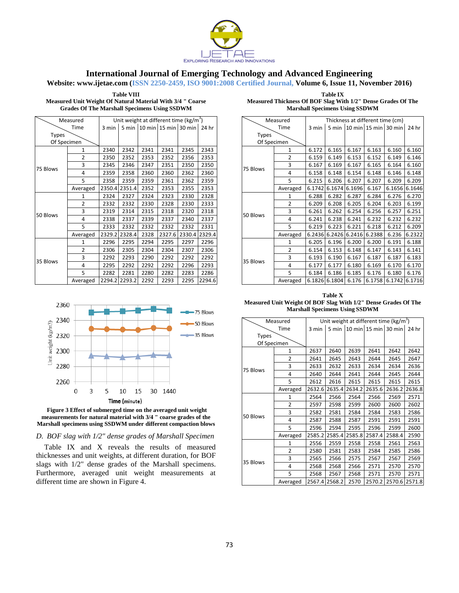

**Website: www.ijetae.com (ISSN 2250-2459, ISO 9001:2008 Certified Journal, Volume 6, Issue 11, November 2016)**

**Table VIII Measured Unit Weight Of Natural Material With 3/4 " Coarse Grades Of The Marshall Specimens Using SSDWM**

| <b>Table IX</b>                                              |
|--------------------------------------------------------------|
| Measured Thickness Of BOF Slag With 1/2" Dense Grades Of The |
| <b>Marshall Specimens Using SSDWM</b>                        |

| Measured     |                | Unit weight at different time (kg/m <sup>3</sup> ) |        |      |                            |        |        |  |  |
|--------------|----------------|----------------------------------------------------|--------|------|----------------------------|--------|--------|--|--|
|              | Time           | 3 min                                              |        |      | 5 min 10 min 15 min 30 min |        | 24 hr  |  |  |
| <b>Types</b> |                |                                                    |        |      |                            |        |        |  |  |
| Of Specimen  |                |                                                    |        |      |                            |        |        |  |  |
|              | 1              | 2340                                               | 2342   | 2341 | 2341                       | 2345   | 2343   |  |  |
|              | $\overline{2}$ | 2350                                               | 2352   | 2353 | 2352                       | 2356   | 2353   |  |  |
| 75 Blows     | 3              | 2345                                               | 2346   | 2347 | 2351                       | 2350   | 2350   |  |  |
|              | 4              | 2359                                               | 2358   | 2360 | 2360                       | 2362   | 2360   |  |  |
|              | 5              | 2358                                               | 2359   | 2359 | 2361                       | 2362   | 2359   |  |  |
|              | Averaged       | 2350.4                                             | 2351.4 | 2352 | 2353                       | 2355   | 2353   |  |  |
|              | 1              | 2324                                               | 2327   | 2324 | 2323                       | 2330   | 2328   |  |  |
|              | $\overline{2}$ | 2332                                               | 2332   | 2330 | 2328                       | 2330   | 2333   |  |  |
|              | 3              | 2319                                               | 2314   | 2315 | 2318                       | 2320   | 2318   |  |  |
| 50 Blows     | 4              | 2338                                               | 2337   | 2339 | 2337                       | 2340   | 2337   |  |  |
|              | 5              | 2333                                               | 2332   | 2332 | 2332                       | 2332   | 2331   |  |  |
|              | Averaged       | 2329.2                                             | 2328.4 | 2328 | 2327.6                     | 2330.4 | 2329.4 |  |  |
|              | 1              | 2296                                               | 2295   | 2294 | 2295                       | 2297   | 2296   |  |  |
|              | 2              | 2306                                               | 2305   | 2304 | 2304                       | 2307   | 2306   |  |  |
| 35 Blows     | 3              | 2292                                               | 2293   | 2290 | 2292                       | 2292   | 2292   |  |  |
|              | 4              | 2295                                               | 2292   | 2292 | 2292                       | 2296   | 2293   |  |  |
|              | 5              | 2282                                               | 2281   | 2280 | 2282                       | 2283   | 2286   |  |  |
|              | Averaged       | 2294.2                                             | 2293.2 | 2292 | 2293                       | 2295   | 2294.6 |  |  |





*D. BOF slag with 1/2" dense grades of Marshall Specimen*

Table IX and X reveals the results of measured thicknesses and unit weights, at different duration, for BOF slags with 1/2" dense grades of the Marshall specimens. Furthermore, averaged unit weight measurements at different time are shown in Figure 4.

| Measured     |                | Thickness at different time (cm) |         |        |                         |        |        |  |  |
|--------------|----------------|----------------------------------|---------|--------|-------------------------|--------|--------|--|--|
|              | Time           | 3 min                            | $5$ min |        | $10 \text{ min}$ 15 min | 30 min | 24 hr  |  |  |
| <b>Types</b> |                |                                  |         |        |                         |        |        |  |  |
| Of Specimen  |                |                                  |         |        |                         |        |        |  |  |
|              | $\mathbf{1}$   | 6.172                            | 6.165   | 6.167  | 6.163                   | 6.160  | 6.160  |  |  |
|              | 2              | 6.159                            | 6.149   | 6.153  | 6.152                   | 6.149  | 6.146  |  |  |
| 75 Blows     | 3              | 6.167                            | 6.169   | 6.167  | 6.165                   | 6.164  | 6.160  |  |  |
|              | 4              | 6.158                            | 6.148   | 6.154  | 6.148                   | 6.146  | 6.148  |  |  |
|              | 5              | 6.215                            | 6.206   | 6.207  | 6.207                   | 6.209  | 6.209  |  |  |
|              | Averaged       | 6.1742                           | 6.1674  | 6.1696 | 6.167                   | 6.1656 | 6.1646 |  |  |
|              | 1              | 6.288                            | 6.282   | 6.287  | 6.284                   | 6.276  | 6.270  |  |  |
|              | 2              | 6.209                            | 6.208   | 6.205  | 6.204                   | 6.203  | 6.199  |  |  |
|              | 3              | 6.261                            | 6.262   | 6.254  | 6.256                   | 6.257  | 6.251  |  |  |
| 50 Blows     | 4              | 6.241                            | 6.238   | 6.241  | 6.232                   | 6.232  | 6.232  |  |  |
|              | 5              | 6.219                            | 6.223   | 6.221  | 6.218                   | 6.212  | 6.209  |  |  |
|              | Averaged       | 6.2436                           | 6.2426  | 6.2416 | 6.2388                  | 6.236  | 6.2322 |  |  |
|              | 1              | 6.205                            | 6.196   | 6.200  | 6.200                   | 6.191  | 6.188  |  |  |
|              | $\overline{2}$ | 6.154                            | 6.153   | 6.148  | 6.147                   | 6.143  | 6.141  |  |  |
|              | 3              | 6.193                            | 6.190   | 6.167  | 6.187                   | 6.187  | 6.183  |  |  |
| 35 Blows     | 4              | 6.177                            | 6.177   | 6.180  | 6.169                   | 6.170  | 6.170  |  |  |
|              | 5              | 6.184                            | 6.186   | 6.185  | 6.176                   | 6.180  | 6.176  |  |  |
|              | Averaged       | 6.1826                           | 6.1804  | 6.176  | 6.1758                  | 6.1742 | 6.1716 |  |  |

**Table X Measured Unit Weight Of BOF Slag With 1/2" Dense Grades Of The Marshall Specimens Using SSDWM**

| Measured     |                | Unit weight at different time ( $kg/m3$ ) |        |        |                      |        |        |  |  |
|--------------|----------------|-------------------------------------------|--------|--------|----------------------|--------|--------|--|--|
|              | Time           | 3 min                                     | 5 min  |        | 10 min 15 min 30 min |        | 24 hr  |  |  |
| <b>Types</b> |                |                                           |        |        |                      |        |        |  |  |
| Of Specimen  |                |                                           |        |        |                      |        |        |  |  |
|              | $\mathbf{1}$   | 2637                                      | 2640   | 2639   | 2641                 | 2642   | 2642   |  |  |
|              | $\overline{2}$ | 2641                                      | 2645   | 2643   | 2644                 | 2645   | 2647   |  |  |
| 75 Blows     | 3              | 2633                                      | 2632   | 2633   | 2634                 | 2634   | 2636   |  |  |
|              | 4              | 2640                                      | 2644   | 2641   | 2644                 | 2645   | 2644   |  |  |
|              | 5              | 2612                                      | 2616   | 2615   | 2615                 | 2615   | 2615   |  |  |
|              | Averaged       | 2632.6                                    | 2635.4 | 2634.2 | 2635.6               | 2636.2 | 2636.8 |  |  |
|              | $\mathbf{1}$   | 2564                                      | 2566   | 2564   | 2566                 | 2569   | 2571   |  |  |
|              | 2              | 2597                                      | 2598   | 2599   | 2600                 | 2600   | 2602   |  |  |
|              | 3              | 2582                                      | 2581   | 2584   | 2584                 | 2583   | 2586   |  |  |
| 50 Blows     | 4              | 2587                                      | 2588   | 2587   | 2591                 | 2591   | 2591   |  |  |
|              | 5              | 2596                                      | 2594   | 2595   | 2596                 | 2599   | 2600   |  |  |
|              | Averaged       | 2585.2                                    | 2585.4 | 2585.8 | 2587.4               | 2588.4 | 2590   |  |  |
|              | 1              | 2556                                      | 2559   | 2558   | 2558                 | 2561   | 2563   |  |  |
|              | 2              | 2580                                      | 2581   | 2583   | 2584                 | 2585   | 2586   |  |  |
| 35 Blows     | 3              | 2565                                      | 2566   | 2575   | 2567                 | 2567   | 2569   |  |  |
|              | 4              | 2568                                      | 2568   | 2566   | 2571                 | 2570   | 2570   |  |  |
|              | 5              | 2568                                      | 2567   | 2568   | 2571                 | 2570   | 2571   |  |  |
|              | Averaged       | 2567.4                                    | 2568.2 | 2570   | 2570.2               | 2570.6 | 2571.8 |  |  |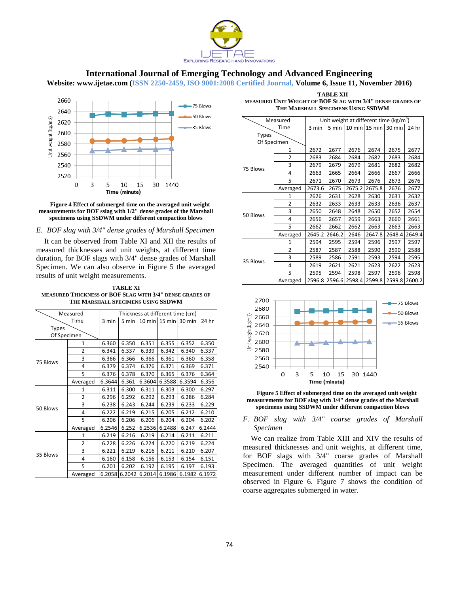

**Website: www.ijetae.com (ISSN 2250-2459, ISO 9001:2008 Certified Journal, Volume 6, Issue 11, November 2016)**



#### **Figure 4 Effect of submerged time on the averaged unit weight measurements for BOF sslag with 1/2" dense grades of the Marshall specimens using SSDWM under different compaction blows**

#### *E. BOF slag with 3/4" dense grades of Marshall Specimen*

It can be observed from Table XI and XII the results of measured thicknesses and unit weights, at different time duration, for BOF slags with 3/4" dense grades of Marshall Specimen. We can also observe in Figure 5 the averaged results of unit weight measurements.

**TABLE XI MEASURED THICKNESS OF BOF SLAG WITH 3/4" DENSE GRADES OF THE MARSHALL SPECIMENS USING SSDWM**

| Measured     |                | Thickness at different time (cm) |        |        |                      |        |        |  |
|--------------|----------------|----------------------------------|--------|--------|----------------------|--------|--------|--|
|              | Time           | 3 min                            | 5 min  |        | 10 min 15 min 30 min |        | 24 hr  |  |
| <b>Types</b> |                |                                  |        |        |                      |        |        |  |
| Of Specimen  |                |                                  |        |        |                      |        |        |  |
|              | 1              | 6.360                            | 6.350  | 6.351  | 6.355                | 6.352  | 6.350  |  |
|              | $\overline{2}$ | 6.341                            | 6.337  | 6.339  | 6.342                | 6.340  | 6.337  |  |
| 75 Blows     | 3              | 6.366                            | 6.366  | 6.366  | 6.361                | 6.360  | 6.358  |  |
|              | 4              | 6.379                            | 6.374  | 6.376  | 6.371                | 6.369  | 6.371  |  |
|              | 5              | 6.376                            | 6.378  | 6.370  | 6.365                | 6.376  | 6.364  |  |
|              | Averaged       | 6.3644                           | 6.361  | 6.3604 | 6.3588               | 6.3594 | 6.356  |  |
|              | 1              | 6.311                            | 6.300  | 6.311  | 6.303                | 6.300  | 6.297  |  |
|              | $\overline{2}$ | 6.296                            | 6.292  | 6.292  | 6.293                | 6.286  | 6.284  |  |
|              | 3              | 6.238                            | 6.243  | 6.244  | 6.239                | 6.233  | 6.229  |  |
| 50 Blows     | 4              | 6.222                            | 6.219  | 6.215  | 6.205                | 6.212  | 6.210  |  |
|              | 5              | 6.206                            | 6.206  | 6.206  | 6.204                | 6.204  | 6.202  |  |
|              | Averaged       | 6.2546                           | 6.252  | 6.2536 | 6.2488               | 6.247  | 6.2444 |  |
|              | 1              | 6.219                            | 6.216  | 6.219  | 6.214                | 6.211  | 6.211  |  |
|              | 2              | 6.228                            | 6.226  | 6.224  | 6.220                | 6.219  | 6.224  |  |
| 35 Blows     | 3              | 6.221                            | 6.219  | 6.216  | 6.211                | 6.210  | 6.207  |  |
|              | 4              | 6.160                            | 6.158  | 6.156  | 6.153                | 6.154  | 6.151  |  |
|              | 5              | 6.201                            | 6.202  | 6.192  | 6.195                | 6.197  | 6.193  |  |
|              | Averaged       | 6.2058                           | 6.2042 | 6.2014 | 6.1986               | 6.1982 | 6.1972 |  |

**TABLE XII MEASURED UNIT WEIGHT OF BOF SLAG WITH 3/4" DENSE GRADES OF THE MARSHALL SPECIMENS USING SSDWM**

| Measured     |                |        | Unit weight at different time ( $kg/m3$ ) |        |        |                      |        |  |
|--------------|----------------|--------|-------------------------------------------|--------|--------|----------------------|--------|--|
| Time         |                | 3 min  | 5 min                                     |        |        | 10 min 15 min 30 min | 24 hr  |  |
| <b>Types</b> |                |        |                                           |        |        |                      |        |  |
| Of Specimen  |                |        |                                           |        |        |                      |        |  |
|              | $\mathbf{1}$   | 2672   | 2677                                      | 2676   | 2674   | 2675                 | 2677   |  |
|              | $\overline{2}$ | 2683   | 2684                                      | 2684   | 2682   | 2683                 | 2684   |  |
| 75 Blows     | 3              | 2679   | 2679                                      | 2679   | 2681   | 2682                 | 2682   |  |
|              | 4              | 2663   | 2665                                      | 2664   | 2666   | 2667                 | 2666   |  |
|              | 5              | 2671   | 2670                                      | 2673   | 2676   | 2673                 | 2676   |  |
|              | Averaged       | 2673.6 | 2675                                      | 2675.2 | 2675.8 | 2676                 | 2677   |  |
|              | 1              | 2626   | 2631                                      | 2628   | 2630   | 2631                 | 2632   |  |
|              | $\overline{2}$ | 2632   | 2633                                      | 2633   | 2633   | 2636                 | 2637   |  |
|              | 3              | 2650   | 2648                                      | 2648   | 2650   | 2652                 | 2654   |  |
| 50 Blows     | 4              | 2656   | 2657                                      | 2659   | 2663   | 2660                 | 2661   |  |
|              | 5              | 2662   | 2662                                      | 2662   | 2663   | 2663                 | 2663   |  |
|              | Averaged       | 2645.2 | 2646.2                                    | 2646   | 2647.8 | 2648.4               | 2649.4 |  |
|              | 1              | 2594   | 2595                                      | 2594   | 2596   | 2597                 | 2597   |  |
|              | 2              | 2587   | 2587                                      | 2588   | 2590   | 2590                 | 2588   |  |
| 35 Blows     | 3              | 2589   | 2586                                      | 2591   | 2593   | 2594                 | 2595   |  |
|              | 4              | 2619   | 2621                                      | 2621   | 2623   | 2622                 | 2623   |  |
|              | 5              | 2595   | 2594                                      | 2598   | 2597   | 2596                 | 2598   |  |
|              | Averaged       |        | 2596.8 2596.6                             | 2598.4 | 2599.8 | 2599.8               | 2600.2 |  |



**Figure 5 Effect of submerged time on the averaged unit weight measurements for BOF slag with 3/4" dense grades of the Marshall specimens using SSDWM under different compaction blows**

## *F. BOF slag with 3/4" coarse grades of Marshall Specimen*

We can realize from Table XIII and XIV the results of measured thicknesses and unit weights, at different time, for BOF slags with 3/4" coarse grades of Marshall Specimen. The averaged quantities of unit weight measurement under different number of impact can be observed in Figure 6. Figure 7 shows the condition of coarse aggregates submerged in water.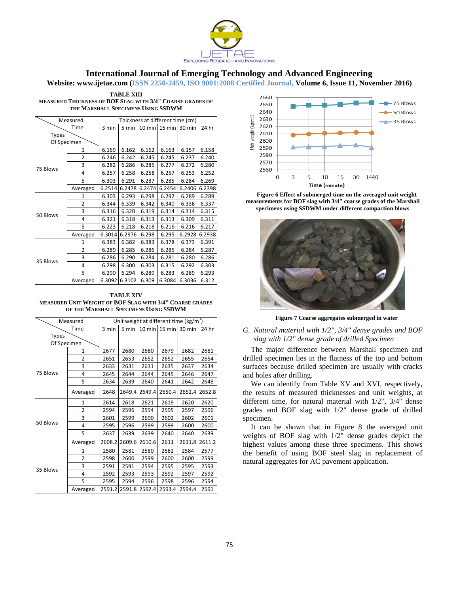

**Website: www.ijetae.com (ISSN 2250-2459, ISO 9001:2008 Certified Journal, Volume 6, Issue 11, November 2016)**

| <b>TABLE XIII</b>                                         |
|-----------------------------------------------------------|
| MEASURED THICKNESS OF BOF SLAG WITH 3/4" COARSE GRADES OF |
| THE MARSHALL SPECIMENS USING SSDWM                        |

| Measured     |                | Thickness at different time (cm) |        |        |                          |        |        |  |
|--------------|----------------|----------------------------------|--------|--------|--------------------------|--------|--------|--|
|              | Time           |                                  | 5 min  |        | 10 min $15$ min $30$ min |        | 24 hr  |  |
| <b>Types</b> |                |                                  |        |        |                          |        |        |  |
| Of Specimen  |                |                                  |        |        |                          |        |        |  |
|              | 1              | 6.169                            | 6.162  | 6.162  | 6.163                    | 6.157  | 6.158  |  |
|              | $\overline{2}$ | 6.246                            | 6.242  | 6.245  | 6.245                    | 6.237  | 6.240  |  |
| 75 Blows     | 3              | 6.282                            | 6.286  | 6.285  | 6.277                    | 6.272  | 6.280  |  |
|              | 4              | 6.257                            | 6.258  | 6.258  | 6.257                    | 6.253  | 6.252  |  |
|              | 5              | 6.303                            | 6.291  | 6.287  | 6.285                    | 6.284  | 6.269  |  |
|              | Averaged       | 6.2514                           | 6.2478 | 6.2474 | 6.2454                   | 6.2406 | 6.2398 |  |
|              | 1              | 6.303                            | 6.293  | 6.298  | 6.292                    | 6.289  | 6.289  |  |
|              | 2              | 6.344                            | 6.339  | 6.342  | 6.340                    | 6.336  | 6.337  |  |
| 50 Blows     | 3              | 6.316                            | 6.320  | 6.319  | 6.314                    | 6.314  | 6.315  |  |
|              | 4              | 6.321                            | 6.318  | 6.313  | 6.313                    | 6.309  | 6.311  |  |
|              | 5              | 6.223                            | 6.218  | 6.218  | 6.216                    | 6.216  | 6.217  |  |
|              | Averaged       | 6.3014                           | 6.2976 | 6.298  | 6.295                    | 6.2928 | 6.2938 |  |
|              | 1              | 6.383                            | 6.382  | 6.383  | 6.378                    | 6.373  | 6.391  |  |
|              | $\overline{2}$ | 6.289                            | 6.285  | 6.286  | 6.285                    | 6.284  | 6.287  |  |
|              | 3              | 6.286                            | 6.290  | 6.284  | 6.281                    | 6.280  | 6.286  |  |
| 35 Blows     | 4              | 6.298                            | 6.300  | 6.303  | 6.315                    | 6.292  | 6.303  |  |
|              | 5              | 6.290                            | 6.294  | 6.289  | 6.283                    | 6.289  | 6.293  |  |
|              | Averaged       | 6.3092                           | 6.3102 | 6.309  | 6.3084                   | 6.3036 | 6.312  |  |

**TABLE XIV MEASURED UNIT WEIGHT OF BOF SLAG WITH 3/4" COARSE GRADES OF THE MARSHALL SPECIMENS USING SSDWM**

| Measured     |                | Unit weight at different time ( $kg/m3$ ) |        |        |                      |        |        |
|--------------|----------------|-------------------------------------------|--------|--------|----------------------|--------|--------|
| Time         |                | 3 min                                     | 5 min  |        | 10 min 15 min 30 min |        | 24 hr  |
| <b>Types</b> |                |                                           |        |        |                      |        |        |
| Of Specimen  |                |                                           |        |        |                      |        |        |
|              | $\mathbf{1}$   | 2677                                      | 2680   | 2680   | 2679                 | 2682   | 2681   |
|              | $\overline{2}$ | 2651                                      | 2653   | 2652   | 2652                 | 2655   | 2654   |
|              | 3              | 2633                                      | 2631   | 2631   | 2635                 | 2637   | 2634   |
| 75 Blows     | 4              | 2645                                      | 2644   | 2644   | 2645                 | 2646   | 2647   |
|              | 5              | 2634                                      | 2639   | 2640   | 2641                 | 2642   | 2648   |
|              | Averaged       | 2648                                      | 2649.4 | 2649.4 | 2650.4               | 2652.4 | 2652.8 |
|              | $\mathbf{1}$   | 2614                                      | 2618   | 2621   | 2619                 | 2620   | 2620   |
|              | $\overline{2}$ | 2594                                      | 2596   | 2594   | 2595                 | 2597   | 2596   |
|              | 3              | 2601                                      | 2599   | 2600   | 2602                 | 2602   | 2601   |
| 50 Blows     | 4              | 2595                                      | 2596   | 2599   | 2599                 | 2600   | 2600   |
|              | 5              | 2637                                      | 2639   | 2639   | 2640                 | 2640   | 2639   |
|              | Averaged       | 2608.2                                    | 2609.6 | 2610.6 | 2611                 | 2611.8 | 2611.2 |
|              | 1              | 2580                                      | 2581   | 2580   | 2582                 | 2584   | 2577   |
|              | 2              | 2598                                      | 2600   | 2599   | 2600                 | 2600   | 2599   |
|              | 3              | 2591                                      | 2591   | 2594   | 2595                 | 2595   | 2593   |
| 35 Blows     | 4              | 2592                                      | 2593   | 2593   | 2592                 | 2597   | 2592   |
|              | 5              | 2595                                      | 2594   | 2596   | 2598                 | 2596   | 2594   |
|              | Averaged       | 2591.2                                    | 2591.8 | 2592.4 | 2593.4               | 2594.4 | 2591   |



**Figure 6 Effect of submerged time on the averaged unit weight measurements for BOF slag with 3/4" coarse grades of the Marshall specimens using SSDWM under different compaction blows**



**Figure 7 Coarse aggregates submerged in water**

## *G. Natural material with 1/2", 3/4" dense grades and BOF slag with 1/2" dense grade of drilled Specimen*

The major difference between Marshall specimen and drilled specimen lies in the flatness of the top and bottom surfaces because drilled specimen are usually with cracks and holes after drilling.

We can identify from Table XV and XVI, respectively, the results of measured thicknesses and unit weights, at different time, for natural material with 1/2", 3/4" dense grades and BOF slag with 1/2" dense grade of drilled specimen.

It can be shown that in Figure 8 the averaged unit weights of BOF slag with 1/2" dense grades depict the highest values among these three specimens. This shows the benefit of using BOF steel slag in replacement of natural aggregates for AC pavement application.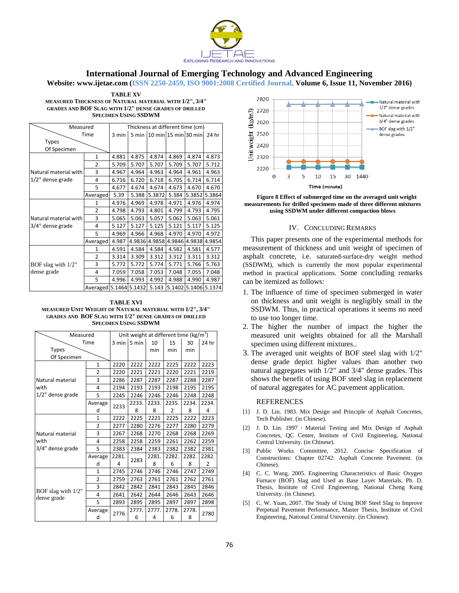

**Website: www.ijetae.com (ISSN 2250-2459, ISO 9001:2008 Certified Journal, Volume 6, Issue 11, November 2016)**

| <b>TABLE XV</b>                                              |
|--------------------------------------------------------------|
| MEASURED THICKNESS OF NATURAL MATERIAL WITH 1/2'', 3/4''     |
| <b>GRADES AND BOF SLAG WITH 1/2" DENSE GRADES OF DRILLED</b> |
| <b>SPECIMEN USING SSDWM</b>                                  |

| Measured              | Thickness at different time (cm) |       |                            |        |        |                      |        |
|-----------------------|----------------------------------|-------|----------------------------|--------|--------|----------------------|--------|
| Time                  | 3 min                            |       | 5 min 10 min 15 min 30 min |        |        | 24 hr                |        |
| <b>Types</b>          |                                  |       |                            |        |        |                      |        |
| Of Specimen           |                                  |       |                            |        |        |                      |        |
|                       | $\mathbf{1}$                     | 4.881 | 4.875                      | 4.874  | 4.869  | 4.874                | 4.873  |
|                       | $\overline{2}$                   | 5.709 | 5.707                      | 5.707  | 5.709  | 5.707                | 5.712  |
| Natural material with | 3                                | 4.967 | 4.964                      | 4.963  | 4.964  | 4.961                | 4.963  |
| 1/2" dense grade      | 4                                | 6.716 | 6.720                      | 6.718  | 6.705  | 6.714                | 6.714  |
|                       | 5                                | 4.677 | 4.674                      | 4.674  | 4.673  | 4.670                | 4.670  |
|                       | Averaged                         | 5.39  | 5.388                      | 5.3872 | 5.384  | 5.3852               | 5.3864 |
|                       | $\mathbf{1}$                     | 4.976 | 4.969                      | 4.978  | 4.971  | 4.976                | 4.974  |
|                       | 2                                | 4.798 | 4.793                      | 4.801  | 4.799  | 4.793                | 4.795  |
| Natural material with | 3                                | 5.065 | 5.063                      | 5.057  | 5.062  | 5.063                | 5.061  |
| 3/4" dense grade      | 4                                | 5.127 | 5.127                      | 5.125  | 5.121  | 5.117                | 5.125  |
|                       | 5                                | 4.969 | 4.966                      | 4.968  | 4.970  | 4.970                | 4.972  |
|                       | Averaged                         | 4.987 | 4.9836                     | 4.9858 | 4.9846 | 4.9838               | 4.9854 |
|                       | $\mathbf{1}$                     | 4.591 | 4.584                      | 4.584  | 4.582  | 4.581                | 4.577  |
|                       | $\overline{2}$                   | 3.314 | 3.309                      | 3.312  | 3.312  | 3.311                | 3.312  |
| BOF slag with 1/2"    | 3                                | 5.772 | 5.772                      | 5.774  | 5.771  | 5.766                | 5.763  |
| dense grade           | 4                                | 7.059 | 7.058                      | 7.053  | 7.048  | 7.055                | 7.048  |
|                       | 5                                | 4.996 | 4.993                      | 4.992  | 4.988  | 4.990                | 4.987  |
|                       | Averaged 5.1464 5.1432           |       |                            | 5.143  |        | 5.1402 5.1406 5.1374 |        |

**TABLE XVI MEASURED UNIT WEIGHT OF NATURAL MATERIAL WITH 1/2", 3/4" GRADES AND BOF SLAG WITH 1/2" DENSE GRADES OF DRILLED SPECIMEN USING SSDWM**

| Measured                             | Unit weight at different time ( $kg/m3$ ) |       |       |       |       |       |       |
|--------------------------------------|-------------------------------------------|-------|-------|-------|-------|-------|-------|
| Time                                 | $3 \text{ min}$                           | 5 min | 10    | 15    | 30    | 24 hr |       |
| <b>Types</b>                         |                                           |       |       | min   | min   | min   |       |
| Of Specimen                          |                                           |       |       |       |       |       |       |
|                                      | $\mathbf{1}$                              | 2220  | 2222  | 2222  | 2225  | 2222  | 2223  |
|                                      | $\overline{2}$                            | 2220  | 2221  | 2221  | 2220  | 2221  | 2219  |
| Natural material                     | 3                                         | 2286  | 2287  | 2287  | 2287  | 2288  | 2287  |
| with                                 | 4                                         | 2194  | 2193  | 2193  | 2198  | 2195  | 2195  |
| 1/2" dense grade                     | 5                                         | 2245  | 2246  | 2246  | 2246  | 2248  | 2248  |
|                                      | Average                                   | 2233  | 2233. | 2233. | 2235. | 2234. | 2234. |
|                                      | d                                         |       | 8     | 8     | 2     | 8     | 4     |
|                                      | $\mathbf{1}$                              | 2222  | 2225  | 2221  | 2225  | 2222  | 2223  |
|                                      | $\overline{2}$                            | 2277  | 2280  | 2276  | 2277  | 2280  | 2279  |
| Natural material                     | 3                                         | 2267  | 2268  | 2270  | 2268  | 2268  | 2269  |
| with                                 | 4                                         | 2258  | 2258  | 2259  | 2261  | 2262  | 2259  |
| 3/4" dense grade                     | 5                                         | 2383  | 2384  | 2383  | 2382  | 2382  | 2381  |
|                                      | Average                                   | 2281. | 2283  | 2281. | 2282. | 2282. | 2282. |
|                                      | d                                         | 4     |       | 8     | 6     | 8     | 2     |
|                                      | $\mathbf{1}$                              | 2745  | 2746  | 2746  | 2746  | 2747  | 2749  |
|                                      | $\overline{2}$                            | 2759  | 2763  | 2761  | 2761  | 2762  | 2761  |
|                                      | 3                                         | 2842  | 2842  | 2841  | 2843  | 2845  | 2846  |
| BOF slag with $1/2$ "<br>dense grade | 4                                         | 2641  | 2642  | 2644  | 2646  | 2643  | 2646  |
|                                      | 5                                         | 2893  | 2895  | 2895  | 2897  | 2897  | 2898  |
|                                      | Average                                   |       | 2777. | 2777. | 2778. | 2778. | 2780  |
|                                      | d                                         | 2776  | 6     | 4     | 6     | 8     |       |



**Figure 8 Effect of submerged time on the averaged unit weight measurements for drilled specimens made of three different mixtures using SSDWM under different compaction blows**

#### IV. CONCLUDING REMARKS

This paper presents one of the experimental methods for measurement of thickness and unit weight of specimen of asphalt concrete, i.e. saturated-surface-dry weight method (SSDWM), which is currently the most popular experimental method in practical applications. Some concluding remarks can be itemized as follows:

- 1. The influence of time of specimen submerged in water on thickness and unit weight is negligibly small in the SSDWM. Thus, in practical operations it seems no need to use too longer time.
- 2. The higher the number of impact the higher the measured unit weights obtained for all the Marshall specimen using different mixtures..
- 3. The averaged unit weights of BOF steel slag with 1/2" dense grade depict higher values than another two natural aggregates with 1/2" and 3/4" dense grades. This shows the benefit of using BOF steel slag in replacement of natural aggregates for AC pavement application.

#### **REFERENCES**

- [1] J. D. Lin. 1983. Mix Design and Principle of Asphalt Concretes, Tech Publisher. (in Chinese).
- [2] J. D. Lin. 1997, Material Testing and Mix Design of Asphalt Concretes, QC Center, Institute of Civil Engineering, National Central University. (in Chinese).
- [3] Public Works Committee, 2012. Concise Specification of Constructions: Chapter 02742: Asphalt Concrete Pavement. (in Chinese).
- [4] C. C. Wang, 2005. Engineering Characteristics of Basic Oxygen Furnace (BOF) Slag and Used as Base Layer Materials, Ph. D. Thesis, Institute of Civil Engineering, National Cheng Kung University. (in Chinese).
- [5] C. W. Yuan, 2007. The Study of Using BOF Steel Slag to Improve Perpetual Pavement Performance, Master Thesis, Institute of Civil Engineering, National Central University. (in Chinese).